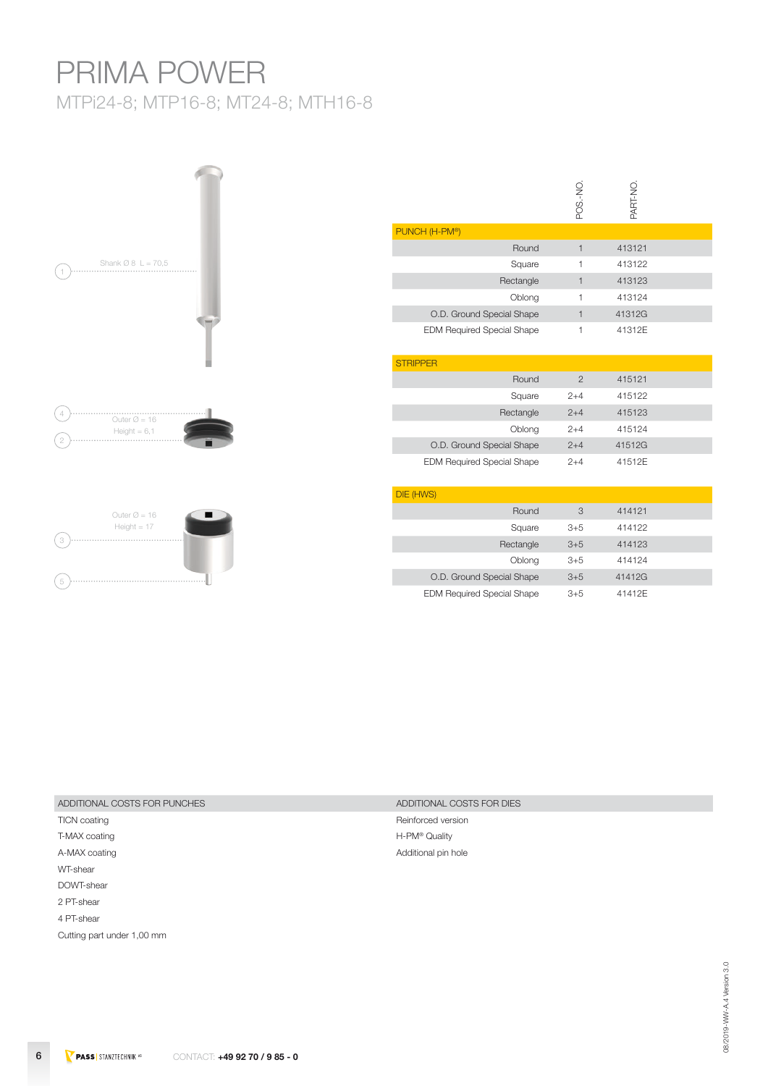# PRIMA POWER

MTPi24-8; MTP16-8; MT24-8; MTH16-8



|                                   | POS.-NO.       | PART-NO. |  |
|-----------------------------------|----------------|----------|--|
| PUNCH (H-PM®)                     |                |          |  |
| Round                             | $\mathbf{1}$   | 413121   |  |
| Square                            | 1              | 413122   |  |
| Rectangle                         | $\mathbf{1}$   | 413123   |  |
| Oblong                            | 1              | 413124   |  |
| O.D. Ground Special Shape         | $\mathbf{1}$   | 41312G   |  |
| <b>EDM Required Special Shape</b> | 1              | 41312E   |  |
| <b>STRIPPER</b>                   |                |          |  |
| Round                             | $\mathfrak{D}$ | 415121   |  |
| Square                            | $2 + 4$        | 415122   |  |
| Rectangle                         | $2 + 4$        | 415123   |  |
| Oblong                            | $2 + 4$        | 415124   |  |
| O.D. Ground Special Shape         | $2 + 4$        | 41512G   |  |
| <b>EDM Required Special Shape</b> | $2 + 4$        | 41512E   |  |
| DIE (HWS)                         |                |          |  |
| Round                             | 3              | 414121   |  |
| Square                            | $3 + 5$        | 414122   |  |
| Rectangle                         | $3 + 5$        | 414123   |  |
| Oblong                            | $3 + 5$        | 414124   |  |
| O.D. Ground Special Shape         | $3 + 5$        | 41412G   |  |
| <b>EDM Required Special Shape</b> | $3 + 5$        | 41412E   |  |

| ADDITIONAL COSTS FOR PUNCHES | ADDITIONAL COSTS FOR DIES |
|------------------------------|---------------------------|

TICN coating **Reinforced version** T-MAX coating T-MAX coating T-MAX coating T-MAX coating T-M® Quality A-MAX coating and a state of the Additional pin hole and a state of the Additional pin hole WT-shear DOWT-shear 2 PT-shear 4 PT-shear Cutting part under 1,00 mm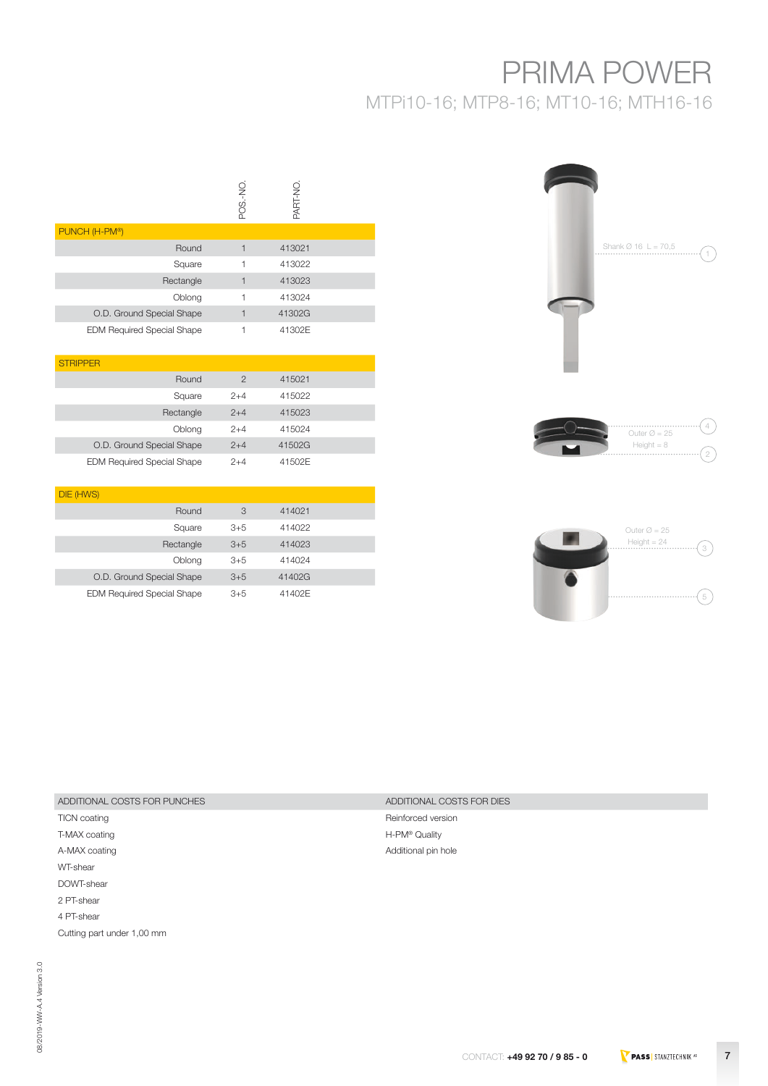# PRIMA POWER

MTPi10-16; MTP8-16; MT10-16; MTH16-16

|                                   | POS-NO | <b>N-TRAC</b> |  |
|-----------------------------------|--------|---------------|--|
| PUNCH (H-PM®)                     |        |               |  |
| Round                             |        | 413021        |  |
| Square                            |        | 413022        |  |
| Rectangle                         |        | 413023        |  |
| Oblong                            |        | 413024        |  |
| O.D. Ground Special Shape         |        | 41302G        |  |
| <b>EDM Required Special Shape</b> |        | 41302E        |  |

| <b>STRIPPER</b>                   |                |        |  |
|-----------------------------------|----------------|--------|--|
| Round                             | $\mathfrak{p}$ | 415021 |  |
| Square                            | $2+4$          | 415022 |  |
| Rectangle                         | $2+4$          | 415023 |  |
| Oblong                            | $2+4$          | 415024 |  |
| O.D. Ground Special Shape         | $2+4$          | 41502G |  |
| <b>EDM Required Special Shape</b> | $2+4$          | 41502E |  |

| DIE (HWS)                         |       |        |  |
|-----------------------------------|-------|--------|--|
| Round                             | 3     | 414021 |  |
| Square                            | $3+5$ | 414022 |  |
| Rectangle                         | $3+5$ | 414023 |  |
| Oblong                            | $3+5$ | 414024 |  |
| O.D. Ground Special Shape         | $3+5$ | 41402G |  |
| <b>EDM Required Special Shape</b> | $3+5$ | 41402E |  |

# Shank Ø 16 L = 70,5 ·A





## ADDITIONAL COSTS FOR PUNCHES ADDITIONAL COSTS FOR DIES

T-MAX coating **H-PM®** Quality A-MAX coating and a state of the Additional pin hole Additional pin hole WT-shear DOWT-shear 2 PT-shear 4 PT-shear Cutting part under 1,00 mm

TICN coating TICN coating TICN coating TICN coating TICN coating TICN coating TICN coating TICN coating TICN coating TICN coating TICN coating TICN coating TICN coating TICN coating TICN coating TICN coating TICN coating T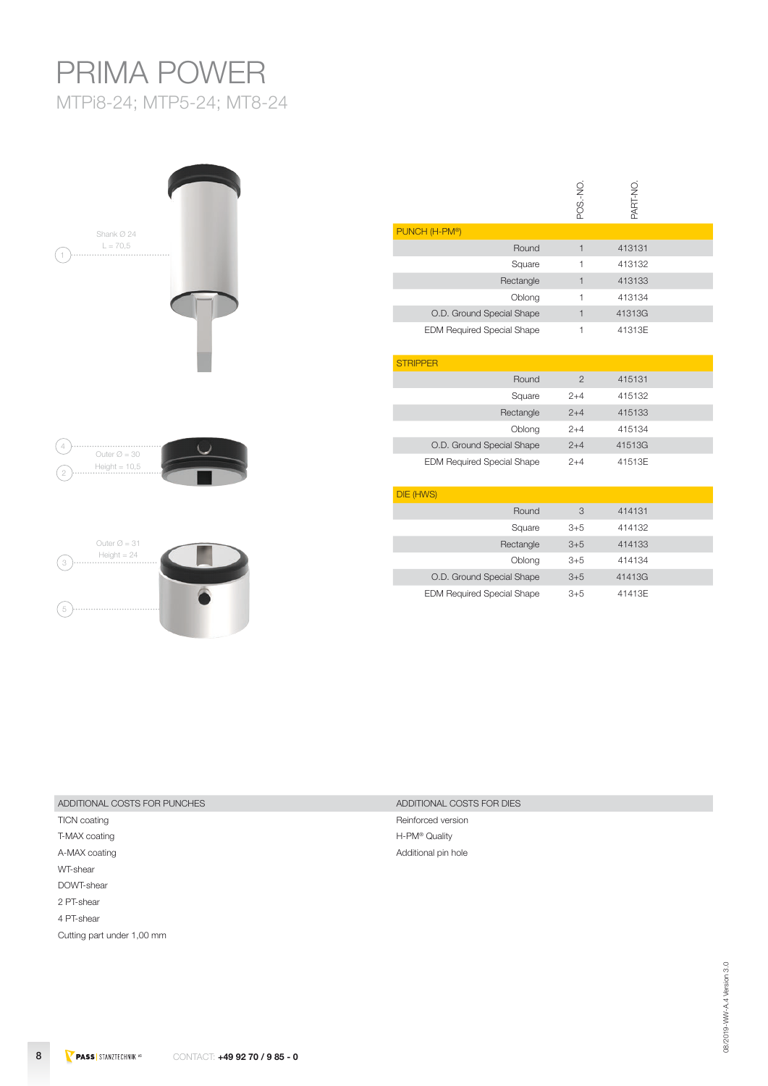# PRIMA POWER MTPi8-24; MTP5-24; MT8-24





|                                   | POS.-NO.       | PART-NO. |  |
|-----------------------------------|----------------|----------|--|
| PUNCH (H-PM®)                     |                |          |  |
| Round                             | $\mathbf{1}$   | 413131   |  |
| Square                            | 1              | 413132   |  |
| Rectangle                         | $\mathbf{1}$   | 413133   |  |
| Oblong                            | $\mathbf{1}$   | 413134   |  |
| O.D. Ground Special Shape         | $\mathbf{1}$   | 41313G   |  |
| <b>EDM Required Special Shape</b> | 1              | 41313E   |  |
| <b>STRIPPER</b>                   |                |          |  |
| Round                             | $\overline{2}$ | 415131   |  |
| Square                            | $2 + 4$        | 415132   |  |
| Rectangle                         | $2 + 4$        | 415133   |  |
| Oblong                            | $2 + 4$        | 415134   |  |
| O.D. Ground Special Shape         | $2 + 4$        | 41513G   |  |
| <b>EDM Required Special Shape</b> | $2 + 4$        | 41513E   |  |
| DIE (HWS)                         |                |          |  |
| Round                             | 3              | 414131   |  |
| Square                            | $3+5$          | 414132   |  |
| Rectangle                         | $3 + 5$        | 414133   |  |
| Oblong                            | $3 + 5$        | 414134   |  |
| O.D. Ground Special Shape         | $3 + 5$        | 41413G   |  |
| <b>EDM Required Special Shape</b> | $3 + 5$        | 41413E   |  |

## ADDITIONAL COSTS FOR PUNCHES ADDITIONAL COSTS FOR DIES

T-MAX coating T-MAX coating T-MAX coating T-MAX coating T-M® Quality A-MAX coating and a state of the Additional pin hole and a state of the Additional pin hole WT-shear DOWT-shear 2 PT-shear 4 PT-shear Cutting part under 1,00 mm

TICN coating TICN coating and the contract of the contract of the contract of the Reinforced version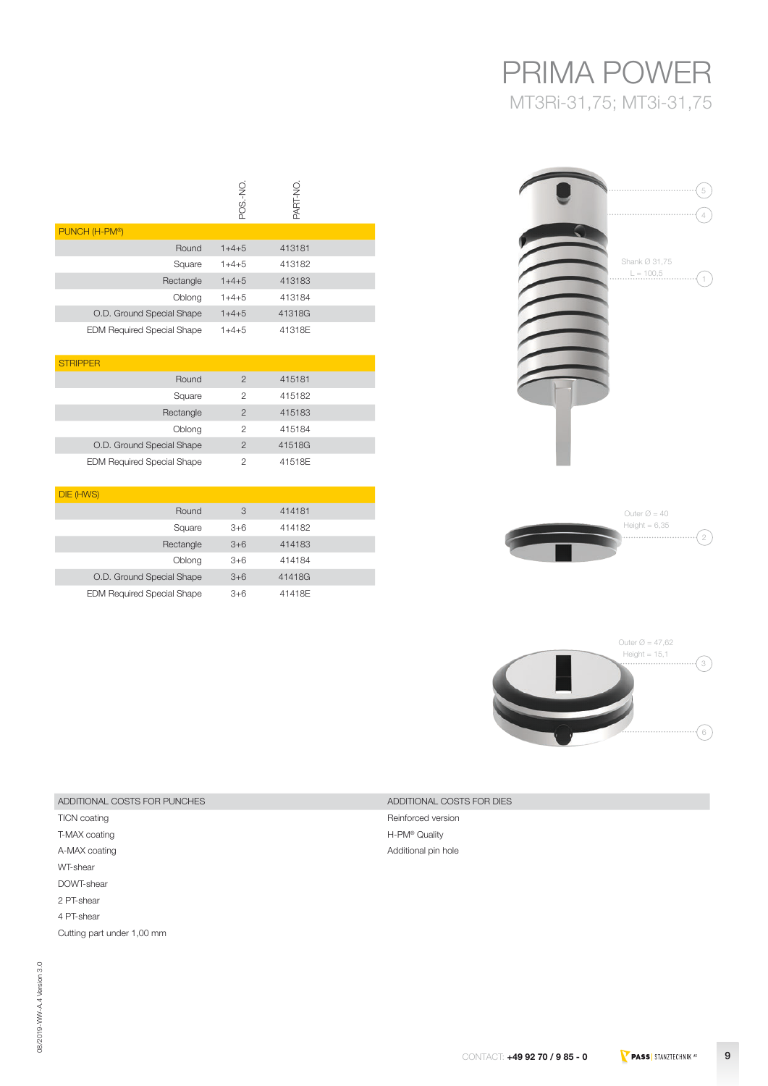## PRIMA POWER MT3Ri-31,75; MT3i-31,75

| 5                                       |
|-----------------------------------------|
| $\it 4$<br>Shank Ø 31,75<br>$L = 100,5$ |
|                                         |
|                                         |
|                                         |





| 414181 | 3       | Round     |
|--------|---------|-----------|
| 414182 | $3+6$   | Square    |
| 414183 | $3 + 6$ | Rectangle |
| 414184 | $3+6$   | Oblona    |

POS.-NO.

POS.-NO.

Round 1+4+5 413181 Square 1+4+5 413182 Rectangle 1+4+5 413183 Oblong 1+4+5 413184

Round 2 415181 Square 2 415182 Rectangle 2 415183 Oblong 2 415184

O.D. Ground Special Shape 1+4+5 41318G EDM Required Special Shape 1+4+5 41318E

O.D. Ground Special Shape 2 41518G EDM Required Special Shape 2 41518E

O.D. Ground Special Shape 3+6 41418G EDM Required Special Shape 3+6 41418E

PART-NO.

PART-NO.

414182 414183 414184

## ADDITIONAL COSTS FOR PUNCHES ADDITIONAL COSTS FOR DIES

TICN coating TICN coating TICN coating TICN coating TICN coating TICN coating TICN coating TICN coating TICN coating TICN coating TICN coating TICN coating TICN coating TICN coating TICN coating TICN coating TICN coating T T-MAX coating T-MAX coating H-PM® Quality A-MAX coating and a state of the Additional pin hole WT-shear DOWT-shear 2 PT-shear 4 PT-shear Cutting part under 1,00 mm

PUNCH (H-PM®)

**STRIPPER** 

DIE (HWS)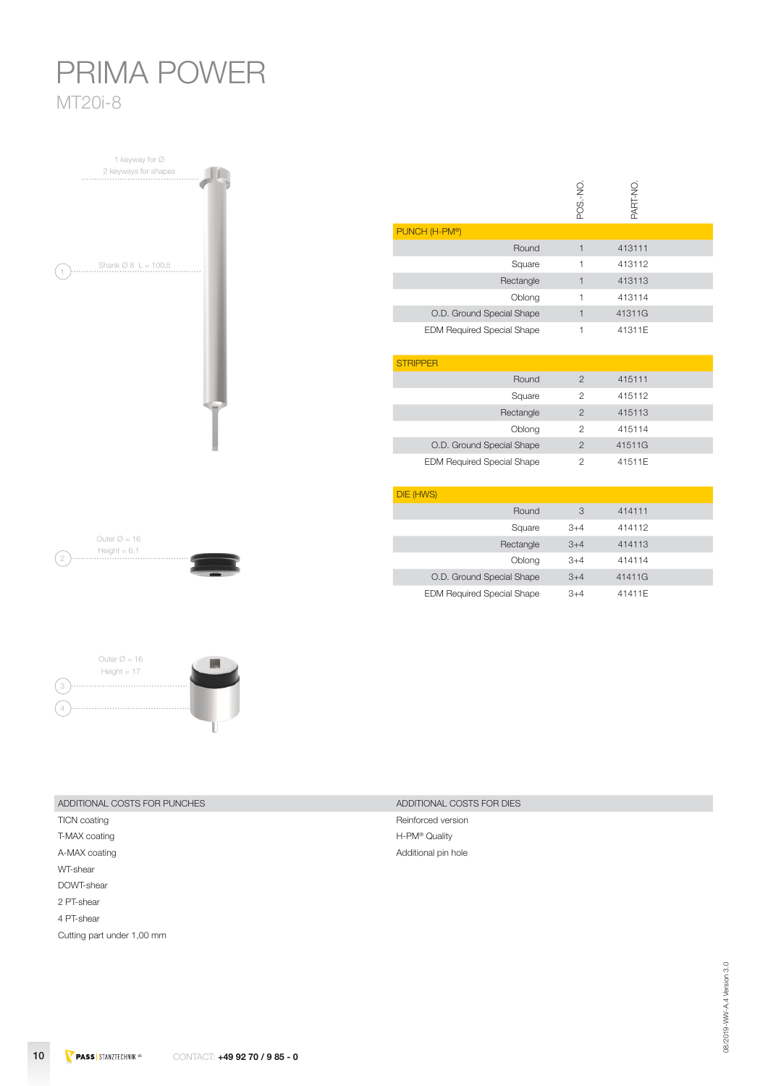# PRIMA POWER MT20i-8

1 keyway for Ø 2 keyways for shapes Shank Ø 8 L = 100,5 1

|                                   | POS.-NO        | PART-NO. |  |
|-----------------------------------|----------------|----------|--|
| PUNCH (H-PM®)                     |                |          |  |
| Round                             | $\mathbf{1}$   | 413111   |  |
| Square                            | 1              | 413112   |  |
| Rectangle                         | $\mathbf{1}$   | 413113   |  |
| Oblong                            | 1              | 413114   |  |
| O.D. Ground Special Shape         | $\mathbf{1}$   | 41311G   |  |
| <b>EDM Required Special Shape</b> | 1              | 41311E   |  |
| <b>STRIPPER</b>                   |                |          |  |
| Round                             | $\overline{2}$ | 415111   |  |
| Square                            | $\overline{2}$ | 415112   |  |
| Rectangle                         | $\overline{2}$ | 415113   |  |
| Oblong                            | $\overline{2}$ | 415114   |  |
| O.D. Ground Special Shape         | $\overline{2}$ | 41511G   |  |
| <b>EDM Required Special Shape</b> | $\overline{2}$ | 41511E   |  |
| DIE (HWS)                         |                |          |  |
| Round                             | 3              | 414111   |  |
| Square                            | $3 + 4$        | 414112   |  |
| Rectangle                         | $3 + 4$        | 414113   |  |
| Oblong                            | $3 + 4$        | 414114   |  |

 $\ddot{\phantom{a}}$ 

O.D. Ground Special Shape 3+4 41411G EDM Required Special Shape  $3+4$  41411E

Outer  $\varnothing$  = 16 Height = 6,1  $\left( 2\right)$ 



| ADDITIONAL COSTS FOR PUNCHES | ADDITIONAL COSTS FOR DIES |
|------------------------------|---------------------------|

T-MAX coating T-MAX coating T-MAX coating T-MAX coating T-MAX coating T-MAX coating T-MB Quality A-MAX coating and a state of the Additional pin hole and a state of the Additional pin hole WT-shear DOWT-shear 2 PT-shear 4 PT-shear Cutting part under 1,00 mm

TICN coating TICN coating and the contract of the contract of the contract of the Reinforced version